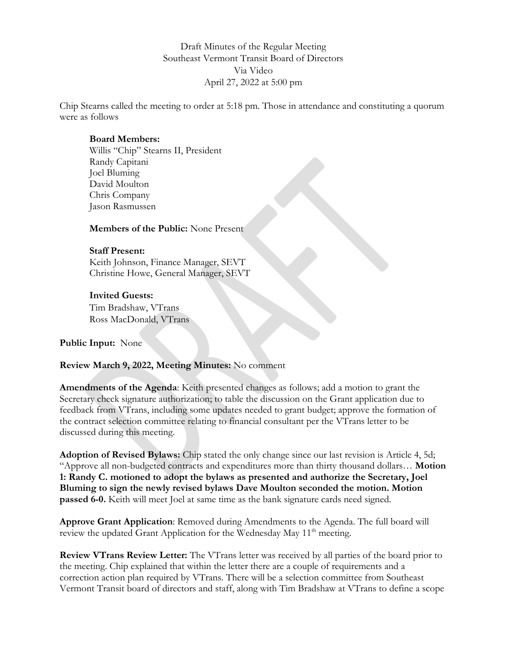Draft Minutes of the Regular Meeting Southeast Vermont Transit Board of Directors Via Video April 27, 2022 at 5:00 pm

Chip Stearns called the meeting to order at 5:18 pm. Those in attendance and constituting a quorum were as follows

### **Board Members:**

Willis "Chip" Stearns II, President Randy Capitani Joel Bluming David Moulton Chris Company Jason Rasmussen

**Members of the Public:** None Present

## **Staff Present:**

Keith Johnson, Finance Manager, SEVT Christine Howe, General Manager, SEVT

## **Invited Guests:**

Tim Bradshaw, VTrans Ross MacDonald, VTrans

### **Public Input:** None

### **Review March 9, 2022, Meeting Minutes:** No comment

**Amendments of the Agenda**: Keith presented changes as follows; add a motion to grant the Secretary check signature authorization; to table the discussion on the Grant application due to feedback from VTrans, including some updates needed to grant budget; approve the formation of the contract selection committee relating to financial consultant per the VTrans letter to be discussed during this meeting.

**Adoption of Revised Bylaws:** Chip stated the only change since our last revision is Article 4, 5d; "Approve all non-budgeted contracts and expenditures more than thirty thousand dollars… **Motion 1: Randy C. motioned to adopt the bylaws as presented and authorize the Secretary, Joel Bluming to sign the newly revised bylaws Dave Moulton seconded the motion. Motion passed 6-0.** Keith will meet Joel at same time as the bank signature cards need signed.

**Approve Grant Application**: Removed during Amendments to the Agenda. The full board will review the updated Grant Application for the Wednesday May 11<sup>th</sup> meeting.

**Review VTrans Review Letter:** The VTrans letter was received by all parties of the board prior to the meeting. Chip explained that within the letter there are a couple of requirements and a correction action plan required by VTrans. There will be a selection committee from Southeast Vermont Transit board of directors and staff, along with Tim Bradshaw at VTrans to define a scope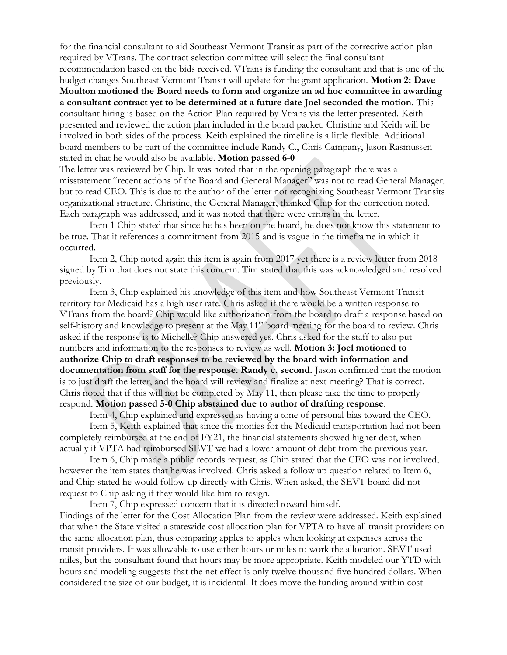for the financial consultant to aid Southeast Vermont Transit as part of the corrective action plan required by VTrans. The contract selection committee will select the final consultant recommendation based on the bids received. VTrans is funding the consultant and that is one of the budget changes Southeast Vermont Transit will update for the grant application. **Motion 2: Dave Moulton motioned the Board needs to form and organize an ad hoc committee in awarding a consultant contract yet to be determined at a future date Joel seconded the motion.** This consultant hiring is based on the Action Plan required by Vtrans via the letter presented. Keith presented and reviewed the action plan included in the board packet. Christine and Keith will be involved in both sides of the process. Keith explained the timeline is a little flexible. Additional board members to be part of the committee include Randy C., Chris Campany, Jason Rasmussen stated in chat he would also be available. **Motion passed 6-0**

The letter was reviewed by Chip. It was noted that in the opening paragraph there was a misstatement "recent actions of the Board and General Manager" was not to read General Manager, but to read CEO. This is due to the author of the letter not recognizing Southeast Vermont Transits organizational structure. Christine, the General Manager, thanked Chip for the correction noted. Each paragraph was addressed, and it was noted that there were errors in the letter.

Item 1 Chip stated that since he has been on the board, he does not know this statement to be true. That it references a commitment from 2015 and is vague in the timeframe in which it occurred.

Item 2, Chip noted again this item is again from 2017 yet there is a review letter from 2018 signed by Tim that does not state this concern. Tim stated that this was acknowledged and resolved previously.

Item 3, Chip explained his knowledge of this item and how Southeast Vermont Transit territory for Medicaid has a high user rate. Chris asked if there would be a written response to VTrans from the board? Chip would like authorization from the board to draft a response based on self-history and knowledge to present at the May 11<sup>th</sup> board meeting for the board to review. Chris asked if the response is to Michelle? Chip answered yes. Chris asked for the staff to also put numbers and information to the responses to review as well. **Motion 3: Joel motioned to authorize Chip to draft responses to be reviewed by the board with information and documentation from staff for the response. Randy c. second.** Jason confirmed that the motion is to just draft the letter, and the board will review and finalize at next meeting? That is correct. Chris noted that if this will not be completed by May 11, then please take the time to properly respond. **Motion passed 5-0 Chip abstained due to author of drafting response**.

Item 4, Chip explained and expressed as having a tone of personal bias toward the CEO.

Item 5, Keith explained that since the monies for the Medicaid transportation had not been completely reimbursed at the end of FY21, the financial statements showed higher debt, when actually if VPTA had reimbursed SEVT we had a lower amount of debt from the previous year.

Item 6, Chip made a public records request, as Chip stated that the CEO was not involved, however the item states that he was involved. Chris asked a follow up question related to Item 6, and Chip stated he would follow up directly with Chris. When asked, the SEVT board did not request to Chip asking if they would like him to resign.

Item 7, Chip expressed concern that it is directed toward himself.

Findings of the letter for the Cost Allocation Plan from the review were addressed. Keith explained that when the State visited a statewide cost allocation plan for VPTA to have all transit providers on the same allocation plan, thus comparing apples to apples when looking at expenses across the transit providers. It was allowable to use either hours or miles to work the allocation. SEVT used miles, but the consultant found that hours may be more appropriate. Keith modeled our YTD with hours and modeling suggests that the net effect is only twelve thousand five hundred dollars. When considered the size of our budget, it is incidental. It does move the funding around within cost